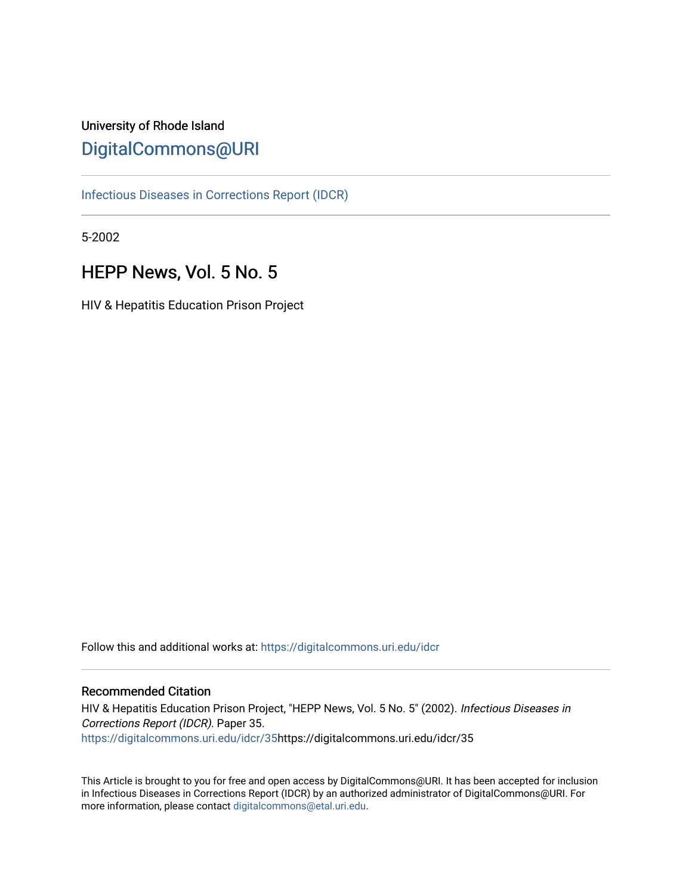# University of Rhode Island [DigitalCommons@URI](https://digitalcommons.uri.edu/)

[Infectious Diseases in Corrections Report \(IDCR\)](https://digitalcommons.uri.edu/idcr)

5-2002

# HEPP News, Vol. 5 No. 5

HIV & Hepatitis Education Prison Project

Follow this and additional works at: [https://digitalcommons.uri.edu/idcr](https://digitalcommons.uri.edu/idcr?utm_source=digitalcommons.uri.edu%2Fidcr%2F35&utm_medium=PDF&utm_campaign=PDFCoverPages)

## Recommended Citation

HIV & Hepatitis Education Prison Project, "HEPP News, Vol. 5 No. 5" (2002). Infectious Diseases in Corrections Report (IDCR). Paper 35. [https://digitalcommons.uri.edu/idcr/35h](https://digitalcommons.uri.edu/idcr/35?utm_source=digitalcommons.uri.edu%2Fidcr%2F35&utm_medium=PDF&utm_campaign=PDFCoverPages)ttps://digitalcommons.uri.edu/idcr/35

This Article is brought to you for free and open access by DigitalCommons@URI. It has been accepted for inclusion in Infectious Diseases in Corrections Report (IDCR) by an authorized administrator of DigitalCommons@URI. For more information, please contact [digitalcommons@etal.uri.edu.](mailto:digitalcommons@etal.uri.edu)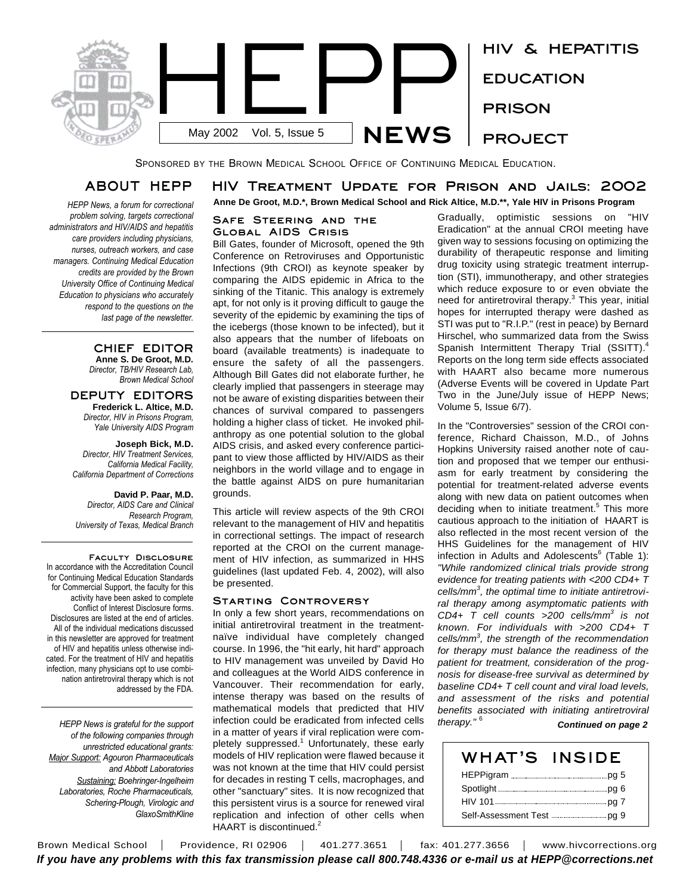

SPONSORED BY THE BROWN MEDICAL SCHOOL OFFICE OF CONTINUING MEDICAL EDUCATION.

## **ABOUT HEPP**

*HEPP News, a forum for correctional problem solving, targets correctional administrators and HIV/AIDS and hepatitis care providers including physicians, nurses, outreach workers, and case managers. Continuing Medical Education credits are provided by the Brown University Office of Continuing Medical Education to physicians who accurately respond to the questions on the last page of the newsletter.* 

### **CHIEF EDITOR Anne S. De Groot, M.D.**

*Director, TB/HIV Research Lab, Brown Medical School*

#### **DEPUTY EDITORS Frederick L. Altice, M.D.** *Director, HIV in Prisons Program,*

*Yale University AIDS Program*

**Joseph Bick, M.D.** *Director, HIV Treatment Services, California Medical Facility, California Department of Corrections*

**David P. Paar, M.D.** *Director, AIDS Care and Clinical Research Program, University of Texas, Medical Branch*

**Faculty Disclosure** In accordance with the Accreditation Council for Continuing Medical Education Standards for Commercial Support, the faculty for this activity have been asked to complete Conflict of Interest Disclosure forms. Disclosures are listed at the end of articles. All of the individual medications discussed in this newsletter are approved for treatment of HIV and hepatitis unless otherwise indicated. For the treatment of HIV and hepatitis infection, many physicians opt to use combination antiretroviral therapy which is not addressed by the FDA.

*HEPP News is grateful for the support of the following companies through unrestricted educational grants: Major Support: Agouron Pharmaceuticals and Abbott Laboratories Sustaining: Boehringer-Ingelheim Laboratories, Roche Pharmaceuticals, Schering-Plough, Virologic and GlaxoSmithKline*

### **HIV Treatment Update for Prison and Jails: 2002 Anne De Groot, M.D.\*, Brown Medical School and Rick Altice, M.D.\*\*, Yale HIV in Prisons Program**

### **Safe Steering and the Global AIDS Crisis**

Bill Gates, founder of Microsoft, opened the 9th Conference on Retroviruses and Opportunistic Infections (9th CROI) as keynote speaker by comparing the AIDS epidemic in Africa to the sinking of the Titanic. This analogy is extremely apt, for not only is it proving difficult to gauge the severity of the epidemic by examining the tips of the icebergs (those known to be infected), but it also appears that the number of lifeboats on board (available treatments) is inadequate to ensure the safety of all the passengers. Although Bill Gates did not elaborate further, he clearly implied that passengers in steerage may not be aware of existing disparities between their chances of survival compared to passengers holding a higher class of ticket. He invoked philanthropy as one potential solution to the global AIDS crisis, and asked every conference participant to view those afflicted by HIV/AIDS as their neighbors in the world village and to engage in the battle against AIDS on pure humanitarian grounds.

This article will review aspects of the 9th CROI relevant to the management of HIV and hepatitis in correctional settings. The impact of research reported at the CROI on the current management of HIV infection, as summarized in HHS guidelines (last updated Feb. 4, 2002), will also be presented.

### **Starting Controversy**

In only a few short years, recommendations on initial antiretroviral treatment in the treatmentnaïve individual have completely changed course. In 1996, the "hit early, hit hard" approach to HIV management was unveiled by David Ho and colleagues at the World AIDS conference in Vancouver. Their recommendation for early, intense therapy was based on the results of mathematical models that predicted that HIV infection could be eradicated from infected cells in a matter of years if viral replication were completely suppressed.<sup>1</sup> Unfortunately, these early models of HIV replication were flawed because it was not known at the time that HIV could persist for decades in resting T cells, macrophages, and other "sanctuary" sites. It is now recognized that this persistent virus is a source for renewed viral replication and infection of other cells when HAART is discontinued.<sup>2</sup>

Gradually, optimistic sessions on "HIV Eradication" at the annual CROI meeting have given way to sessions focusing on optimizing the durability of therapeutic response and limiting drug toxicity using strategic treatment interruption (STI), immunotherapy, and other strategies which reduce exposure to or even obviate the need for antiretroviral therapy. <sup>3</sup> This year, initial hopes for interrupted therapy were dashed as STI was put to "R.I.P." (rest in peace) by Bernard Hirschel, who summarized data from the Swiss Spanish Intermittent Therapy Trial (SSITT).<sup>4</sup> Reports on the long term side effects associated with HAART also became more numerous (Adverse Events will be covered in Update Part Two in the June/July issue of HEPP News; Volume 5, Issue 6/7).

In the "Controversies" session of the CROI conference, Richard Chaisson, M.D., of Johns Hopkins University raised another note of caution and proposed that we temper our enthusiasm for early treatment by considering the potential for treatment-related adverse events along with new data on patient outcomes when deciding when to initiate treatment.<sup>5</sup> This more cautious approach to the initiation of HAART is also reflected in the most recent version of the HHS Guidelines for the management of HIV infection in Adults and Adolescents<sup>6</sup> (Table 1): *"While randomized clinical trials provide strong evidence for treating patients with <200 CD4+ T cells/mm 3 , the optimal time to initiate antiretroviral therapy among asymptomatic patients with CD4+ T cell counts >200 cells/mm 3 is not known. For individuals with >200 CD4+ T cells/mm 3 , the strength of the recommendation for therapy must balance the readiness of the patient for treatment, consideration of the prognosis for disease-free survival as determined by baseline CD4+ T cell count and viral load levels, and assessment of the risks and potential benefits associated with initiating antiretroviral therapy."* <sup>6</sup> *Continued on page 2*

## **WHAT'S INSIDE** HEPPigram **manual control of 5** Spotlight pg 6 HIV 101 **manual control of the 101** PM 7 Self-Assessment Test pg 9

Brown Medical School | Providence, RI 02906 | 401.277.3651 | fax: 401.277.3656 | www.hivcorrections.org *If you have any problems with this fax transmission please call 800.748.4336 or e-mail us at HEPP@corrections.net*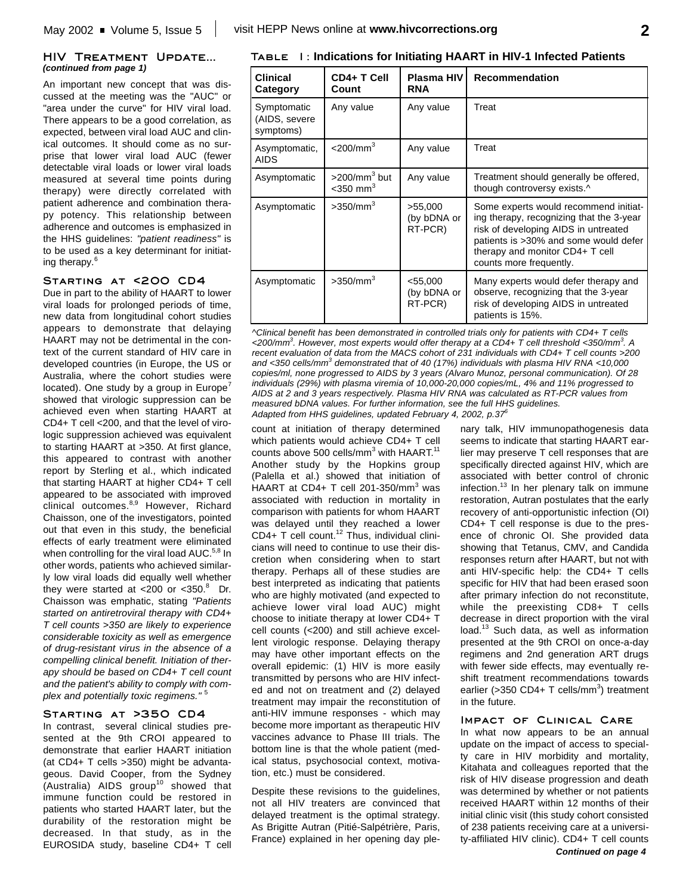### **HIV Treatment Update...** *(continued from page 1)*

An important new concept that was discussed at the meeting was the "AUC" or "area under the curve" for HIV viral load. There appears to be a good correlation, as expected, between viral load AUC and clinical outcomes. It should come as no surprise that lower viral load AUC (fewer detectable viral loads or lower viral loads measured at several time points during therapy) were directly correlated with patient adherence and combination therapy potency. This relationship between adherence and outcomes is emphasized in the HHS guidelines: *"patient readiness"* is to be used as a key determinant for initiating therapy. 6

### **Starting at <200 CD4**

Due in part to the ability of HAART to lower viral loads for prolonged periods of time, new data from longitudinal cohort studies appears to demonstrate that delaying HAART may not be detrimental in the context of the current standard of HIV care in developed countries (in Europe, the US or Australia, where the cohort studies were located). One study by a group in Europe<sup>7</sup> showed that virologic suppression can be achieved even when starting HAART at CD4+ T cell <200, and that the level of virologic suppression achieved was equivalent to starting HAART at >350. At first glance, this appeared to contrast with another report by Sterling et al., which indicated that starting HAART at higher CD4+ T cell appeared to be associated with improved clinical outcomes.<sup>8,9</sup> However, Richard Chaisson, one of the investigators, pointed out that even in this study, the beneficial effects of early treatment were eliminated when controlling for the viral load AUC.<sup>5,8</sup> In other words, patients who achieved similarly low viral loads did equally well whether they were started at <200 or <350. $8$  Dr. Chaisson was emphatic, stating *"Patients started on antiretroviral therapy with CD4+ T cell counts >350 are likely to experience considerable toxicity as well as emergence of drug-resistant virus in the absence of a compelling clinical benefit. Initiation of therapy should be based on CD4+ T cell count and the patient's ability to comply with complex and potentially toxic regimens."* 5

### **Starting at >350 CD4**

In contrast, several clinical studies presented at the 9th CROI appeared to demonstrate that earlier HAART initiation (at CD4+ T cells >350) might be advantageous. David Cooper, from the Sydney (Australia) AIDS group<sup>10</sup> showed that immune function could be restored in patients who started HAART later, but the durability of the restoration might be decreased. In that study, as in the EUROSIDA study, baseline CD4+ T cell

### **Table 1: Indications for Initiating HAART in HIV-1 Infected Patients**

| <b>Clinical</b><br>Category               | CD4+ T Cell<br>Count                          | Plasma HIV<br><b>RNA</b>             | <b>Recommendation</b>                                                                                                                                                                                                            |  |
|-------------------------------------------|-----------------------------------------------|--------------------------------------|----------------------------------------------------------------------------------------------------------------------------------------------------------------------------------------------------------------------------------|--|
| Symptomatic<br>(AIDS, severe<br>symptoms) | Any value                                     | Any value                            | Treat                                                                                                                                                                                                                            |  |
| Asymptomatic,<br><b>AIDS</b>              | $<$ 200/mm <sup>3</sup>                       | Any value                            | Treat                                                                                                                                                                                                                            |  |
| Asymptomatic                              | $>$ 200/mm $3$ but<br>$<$ 350 mm <sup>3</sup> | Any value                            | Treatment should generally be offered,<br>though controversy exists.^                                                                                                                                                            |  |
| Asymptomatic                              | >350/mm <sup>3</sup>                          | >55,000<br>(by bDNA or<br>RT-PCR)    | Some experts would recommend initiat-<br>ing therapy, recognizing that the 3-year<br>risk of developing AIDS in untreated<br>patients is >30% and some would defer<br>therapy and monitor CD4+ T cell<br>counts more frequently. |  |
| Asymptomatic                              | >350/mm <sup>3</sup>                          | $<$ 55,000<br>(by bDNA or<br>RT-PCR) | Many experts would defer therapy and<br>observe, recognizing that the 3-year<br>risk of developing AIDS in untreated<br>patients is 15%.                                                                                         |  |

*^Clinical benefit has been demonstrated in controlled trials only for patients with CD4+ T cells <200/mm 3 . However, most experts would offer therapy at a CD4+ T cell threshold <350/mm 3 . A recent evaluation of data from the MACS cohort of 231 individuals with CD4+ T cell counts >200* and <350 cells/mm<sup>3</sup> demonstrated that of 40 (17%) individuals with plasma HIV RNA <10,000 *copies/ml, none progressed to AIDS by 3 years (Alvaro Munoz, personal communication). Of 28 individuals (29%) with plasma viremia of 10,000-20,000 copies/mL, 4% and 11% progressed to AIDS at 2 and 3 years respectively. Plasma HIV RNA was calculated as RT-PCR values from measured bDNA values. For further information, see the full HHS guidelines. Adapted from HHS guidelines, updated February 4, 2002, p.37 6*

count at initiation of therapy determined which patients would achieve CD4+ T cell counts above 500 cells/mm<sup>3</sup> with HAART.<sup>11</sup> Another study by the Hopkins group (Palella et al.) showed that initiation of HAART at CD4+ T cell 201-350/mm<sup>3</sup> was associated with reduction in mortality in comparison with patients for whom HAART was delayed until they reached a lower CD4+ T cell count.<sup>12</sup> Thus, individual clinicians will need to continue to use their discretion when considering when to start therapy. Perhaps all of these studies are best interpreted as indicating that patients who are highly motivated (and expected to achieve lower viral load AUC) might choose to initiate therapy at lower CD4+ T cell counts (<200) and still achieve excellent virologic response. Delaying therapy may have other important effects on the overall epidemic: (1) HIV is more easily transmitted by persons who are HIV infected and not on treatment and (2) delayed treatment may impair the reconstitution of anti-HIV immune responses - which may become more important as therapeutic HIV vaccines advance to Phase III trials. The bottom line is that the whole patient (medical status, psychosocial context, motivation, etc.) must be considered.

Despite these revisions to the guidelines, not all HIV treaters are convinced that delayed treatment is the optimal strategy. As Brigitte Autran (Pitié-Salpétrière, Paris, France) explained in her opening day ple-

nary talk, HIV immunopathogenesis data seems to indicate that starting HAART earlier may preserve T cell responses that are specifically directed against HIV, which are associated with better control of chronic infection.<sup>13</sup> In her plenary talk on immune restoration, Autran postulates that the early recovery of anti-opportunistic infection (OI) CD4+ T cell response is due to the presence of chronic OI. She provided data showing that Tetanus, CMV, and Candida responses return after HAART, but not with anti HIV-specific help: the CD4+ T cells specific for HIV that had been erased soon after primary infection do not reconstitute, while the preexisting CD8+ T cells decrease in direct proportion with the viral load.<sup>13</sup> Such data, as well as information presented at the 9th CROI on once-a-day regimens and 2nd generation ART drugs with fewer side effects, may eventually reshift treatment recommendations towards earlier (>350 CD4+ T cells/mm<sup>3</sup>) treatment in the future.

### **Impact of Clinical Care**

In what now appears to be an annual update on the impact of access to specialty care in HIV morbidity and mortality, Kitahata and colleagues reported that the risk of HIV disease progression and death was determined by whether or not patients received HAART within 12 months of their initial clinic visit (this study cohort consisted of 238 patients receiving care at a university-affiliated HIV clinic). CD4+ T cell counts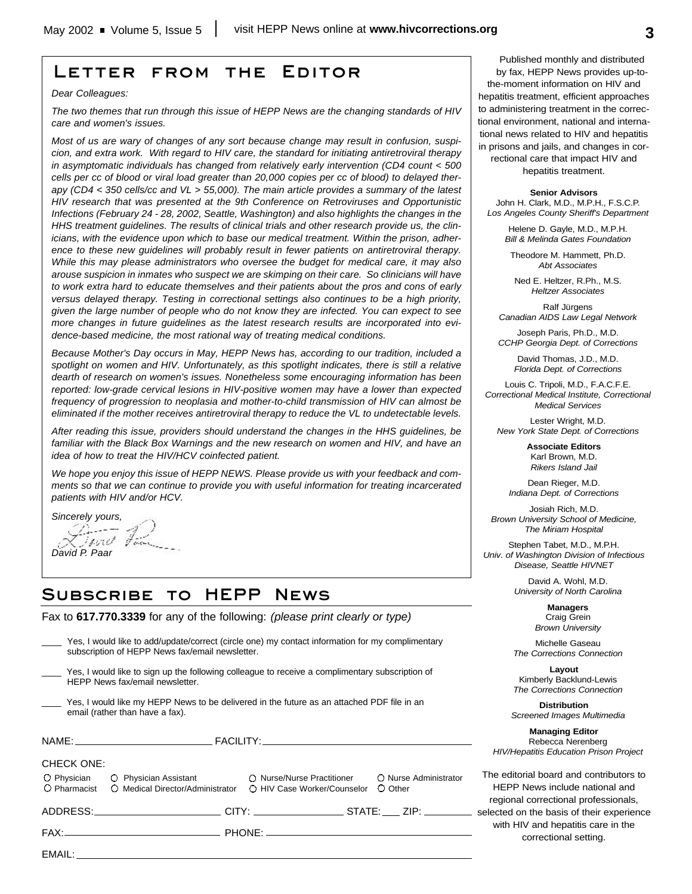# **Letter from the Editor**

### *Dear Colleagues:*

*The two themes that run through this issue of HEPP News are the changing standards of HIV care and women's issues.* 

*Most of us are wary of changes of any sort because change may result in confusion, suspicion, and extra work. With regard to HIV care, the standard for initiating antiretroviral therapy in asymptomatic individuals has changed from relatively early intervention (CD4 count < 500 cells per cc of blood or viral load greater than 20,000 copies per cc of blood) to delayed therapy (CD4 < 350 cells/cc and VL > 55,000). The main article provides a summary of the latest HIV research that was presented at the 9th Conference on Retroviruses and Opportunistic Infections (February 24 - 28, 2002, Seattle, Washington) and also highlights the changes in the HHS treatment guidelines. The results of clinical trials and other research provide us, the clinicians, with the evidence upon which to base our medical treatment. Within the prison, adherence to these new guidelines will probably result in fewer patients on antiretroviral therapy. While this may please administrators who oversee the budget for medical care, it may also arouse suspicion in inmates who suspect we are skimping on their care. So clinicians will have to work extra hard to educate themselves and their patients about the pros and cons of early versus delayed therapy. Testing in correctional settings also continues to be a high priority, given the large number of people who do not know they are infected. You can expect to see more changes in future guidelines as the latest research results are incorporated into evidence-based medicine, the most rational way of treating medical conditions.*

*Because Mother's Day occurs in May, HEPP News has, according to our tradition, included a spotlight on women and HIV. Unfortunately, as this spotlight indicates, there is still a relative dearth of research on women's issues. Nonetheless some encouraging information has been reported: low-grade cervical lesions in HIV-positive women may have a lower than expected frequency of progression to neoplasia and mother-to-child transmission of HIV can almost be eliminated if the mother receives antiretroviral therapy to reduce the VL to undetectable levels.*

*After reading this issue, providers should understand the changes in the HHS guidelines, be familiar with the Black Box Warnings and the new research on women and HIV, and have an idea of how to treat the HIV/HCV coinfected patient.*

*We hope you enjoy this issue of HEPP NEWS. Please provide us with your feedback and comments so that we can continue to provide you with useful information for treating incarcerated patients with HIV and/or HCV.*

*Sincerely yours,* g *David P. Paar*

# **Subscribe to HEPP News**

Fax to **617.770.3339** for any of the following: *(please print clearly or type)*

| subscription of HEPP News fax/email newsletter. | Yes, I would like to add/update/correct (circle one) my contact information for my complimentary                                                                        |
|-------------------------------------------------|-------------------------------------------------------------------------------------------------------------------------------------------------------------------------|
| HEPP News fax/email newsletter.                 | Yes, I would like to sign up the following colleague to receive a complimentary subscription of                                                                         |
| email (rather than have a fax).                 | Yes, I would like my HEPP News to be delivered in the future as an attached PDF file in an                                                                              |
|                                                 |                                                                                                                                                                         |
| <b>CHECK ONE:</b>                               | O Physician C Physician Assistant C Nurse/Nurse Practitioner C Nurse Administrator<br>O Pharmacist O Medical Director/Administrator O HIV Case Worker/Counselor O Other |
|                                                 | ADDRESS:_________________________CITY: ____________________STATE: ____ ZIP: ___________ s                                                                               |
|                                                 |                                                                                                                                                                         |
|                                                 |                                                                                                                                                                         |
|                                                 |                                                                                                                                                                         |

Published monthly and distributed by fax, HEPP News provides up-tothe-moment information on HIV and hepatitis treatment, efficient approaches to administering treatment in the correctional environment, national and international news related to HIV and hepatitis in prisons and jails, and changes in correctional care that impact HIV and hepatitis treatment.

### **Senior Advisors**

John H. Clark, M.D., M.P.H., F.S.C.P. *Los Angeles County Sheriff's Department*

> Helene D. Gayle, M.D., M.P.H. *Bill & Melinda Gates Foundation*

Theodore M. Hammett, Ph.D. *Abt Associates*

Ned E. Heltzer, R.Ph., M.S. *Heltzer Associates*

Ralf Jürgens *Canadian AIDS Law Legal Network*

Joseph Paris, Ph.D., M.D. *CCHP Georgia Dept. of Corrections*

> David Thomas, J.D., M.D. *Florida Dept. of Corrections*

Louis C. Tripoli, M.D., F.A.C.F.E. *Correctional Medical Institute, Correctional Medical Services*

Lester Wright, M.D. *New York State Dept. of Corrections*

> **Associate Editors** Karl Brown, M.D. *Rikers Island Jail*

Dean Rieger, M.D. *Indiana Dept. of Corrections*

Josiah Rich, M.D. *Brown University School of Medicine, The Miriam Hospital*

Stephen Tabet, M.D., M.P.H. *Univ. of Washington Division of Infectious Disease, Seattle HIVNET*

> David A. Wohl, M.D. *University of North Carolina*

> > **Managers** Craig Grein *Brown University*

Michelle Gaseau *The Corrections Connection*

**Layout** Kimberly Backlund-Lewis *The Corrections Connection*

**Distribution** *Screened Images Multimedia*

**Managing Editor** Rebecca Nerenberg *HIV/Hepatitis Education Prison Project*

The editorial board and contributors to HEPP News include national and regional correctional professionals, selected on the basis of their experience with HIV and hepatitis care in the correctional setting.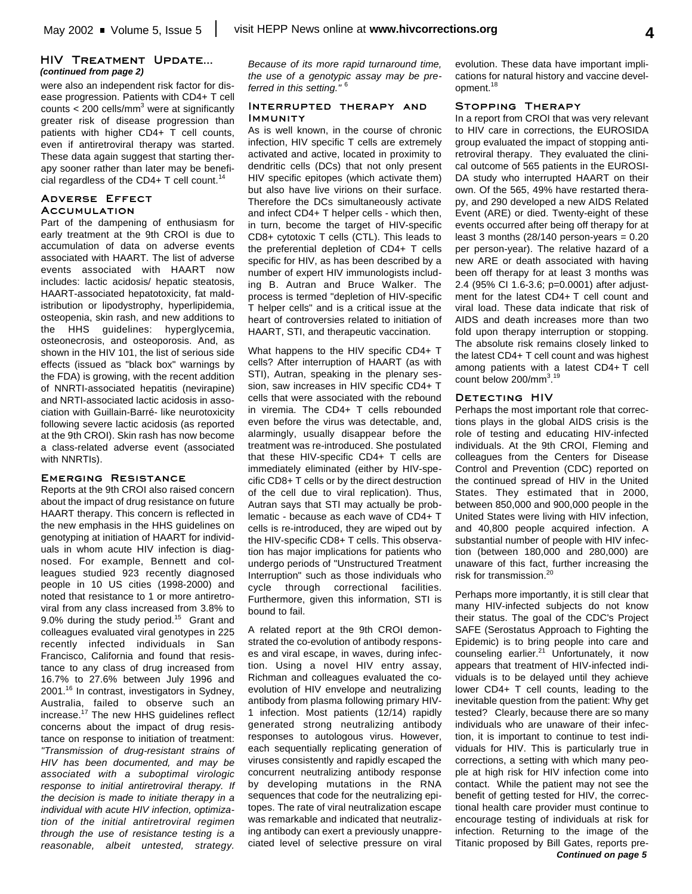### **HIV Treatment Update...** *(continued from page 2)*

were also an independent risk factor for disease progression. Patients with CD4+ T cell counts < 200 cells/mm $3$  were at significantly greater risk of disease progression than patients with higher CD4+ T cell counts, even if antiretroviral therapy was started. These data again suggest that starting therapy sooner rather than later may be beneficial regardless of the CD4+ T cell count.<sup>14</sup>

### **Adverse Effect Accumulation**

Part of the dampening of enthusiasm for early treatment at the 9th CROI is due to accumulation of data on adverse events associated with HAART. The list of adverse events associated with HAART now includes: lactic acidosis/ hepatic steatosis, HAART-associated hepatotoxicity, fat maldistribution or lipodystrophy, hyperlipidemia, osteopenia, skin rash, and new additions to the HHS guidelines: hyperglycemia, osteonecrosis, and osteoporosis. And, as shown in the HIV 101, the list of serious side effects (issued as "black box" warnings by the FDA) is growing, with the recent addition of NNRTI-associated hepatitis (nevirapine) and NRTI-associated lactic acidosis in association with Guillain-Barré- like neurotoxicity following severe lactic acidosis (as reported at the 9th CROI). Skin rash has now become a class-related adverse event (associated with NNRTIs).

### **Emerging Resistance**

Reports at the 9th CROI also raised concern about the impact of drug resistance on future HAART therapy. This concern is reflected in the new emphasis in the HHS guidelines on genotyping at initiation of HAART for individuals in whom acute HIV infection is diagnosed. For example, Bennett and colleagues studied 923 recently diagnosed people in 10 US cities (1998-2000) and noted that resistance to 1 or more antiretroviral from any class increased from 3.8% to 9.0% during the study period.<sup>15</sup> Grant and colleagues evaluated viral genotypes in 225 recently infected individuals in San Francisco, California and found that resistance to any class of drug increased from 16.7% to 27.6% between July 1996 and 2001.<sup>16</sup> In contrast, investigators in Sydney, Australia, failed to observe such an increase.<sup>17</sup> The new HHS guidelines reflect concerns about the impact of drug resistance on response to initiation of treatment: *"Transmission of drug-resistant strains of HIV has been documented, and may be associated with a suboptimal virologic response to initial antiretroviral therapy. If the decision is made to initiate therapy in a individual with acute HIV infection, optimization of the initial antiretroviral regimen through the use of resistance testing is a reasonable, albeit untested, strategy.*

*Because of its more rapid turnaround time, the use of a genotypic assay may be preferred in this setting."* <sup>6</sup>

### **Interrupted therapy and Immunity**

As is well known, in the course of chronic infection, HIV specific T cells are extremely activated and active, located in proximity to dendritic cells (DCs) that not only present HIV specific epitopes (which activate them) but also have live virions on their surface. Therefore the DCs simultaneously activate and infect CD4+ T helper cells - which then, in turn, become the target of HIV-specific CD8+ cytotoxic T cells (CTL). This leads to the preferential depletion of CD4+ T cells specific for HIV, as has been described by a number of expert HIV immunologists including B. Autran and Bruce Walker. The process is termed "depletion of HIV-specific T helper cells" and is a critical issue at the heart of controversies related to initiation of HAART, STI, and therapeutic vaccination.

What happens to the HIV specific CD4+ T cells? After interruption of HAART (as with STI), Autran, speaking in the plenary session, saw increases in HIV specific CD4+ T cells that were associated with the rebound in viremia. The CD4+ T cells rebounded even before the virus was detectable, and, alarmingly, usually disappear before the treatment was re-introduced. She postulated that these HIV-specific CD4+ T cells are immediately eliminated (either by HIV-specific CD8+ T cells or by the direct destruction of the cell due to viral replication). Thus, Autran says that STI may actually be problematic - because as each wave of CD4+ T cells is re-introduced, they are wiped out by the HIV-specific CD8+ T cells. This observation has major implications for patients who undergo periods of "Unstructured Treatment Interruption" such as those individuals who cycle through correctional facilities. Furthermore, given this information, STI is bound to fail.

A related report at the 9th CROI demonstrated the co-evolution of antibody responses and viral escape, in waves, during infection. Using a novel HIV entry assay, Richman and colleagues evaluated the coevolution of HIV envelope and neutralizing antibody from plasma following primary HIV-1 infection. Most patients (12/14) rapidly generated strong neutralizing antibody responses to autologous virus. However, each sequentially replicating generation of viruses consistently and rapidly escaped the concurrent neutralizing antibody response by developing mutations in the RNA sequences that code for the neutralizing epitopes. The rate of viral neutralization escape was remarkable and indicated that neutralizing antibody can exert a previously unappreciated level of selective pressure on viral evolution. These data have important implications for natural history and vaccine development.<sup>18</sup>

### **Stopping Therapy**

In a report from CROI that was very relevant to HIV care in corrections, the EUROSIDA group evaluated the impact of stopping antiretroviral therapy. They evaluated the clinical outcome of 565 patients in the EUROSI-DA study who interrupted HAART on their own. Of the 565, 49% have restarted therapy, and 290 developed a new AIDS Related Event (ARE) or died. Twenty-eight of these events occurred after being off therapy for at least 3 months  $(28/140$  person-years =  $0.20$ per person-year). The relative hazard of a new ARE or death associated with having been off therapy for at least 3 months was 2.4 (95% CI 1.6-3.6; p=0.0001) after adjustment for the latest CD4+ T cell count and viral load. These data indicate that risk of AIDS and death increases more than two fold upon therapy interruption or stopping. The absolute risk remains closely linked to the latest CD4+ T cell count and was highest among patients with a latest CD4+ T cell count below 200/mm<sup>3</sup>.<sup>19</sup>

### **Detecting HIV**

Perhaps the most important role that corrections plays in the global AIDS crisis is the role of testing and educating HIV-infected individuals. At the 9th CROI, Fleming and colleagues from the Centers for Disease Control and Prevention (CDC) reported on the continued spread of HIV in the United States. They estimated that in 2000, between 850,000 and 900,000 people in the United States were living with HIV infection, and 40,800 people acquired infection. A substantial number of people with HIV infection (between 180,000 and 280,000) are unaware of this fact, further increasing the risk for transmission. 20

Perhaps more importantly, it is still clear that many HIV-infected subjects do not know their status. The goal of the CDC's Project SAFE (Serostatus Approach to Fighting the Epidemic) is to bring people into care and counseling earlier.<sup>21</sup> Unfortunately, it now appears that treatment of HIV-infected individuals is to be delayed until they achieve lower CD4+ T cell counts, leading to the inevitable question from the patient: Why get tested? Clearly, because there are so many individuals who are unaware of their infection, it is important to continue to test individuals for HIV. This is particularly true in corrections, a setting with which many people at high risk for HIV infection come into contact. While the patient may not see the benefit of getting tested for HIV, the correctional health care provider must continue to encourage testing of individuals at risk for infection. Returning to the image of the Titanic proposed by Bill Gates, reports pre-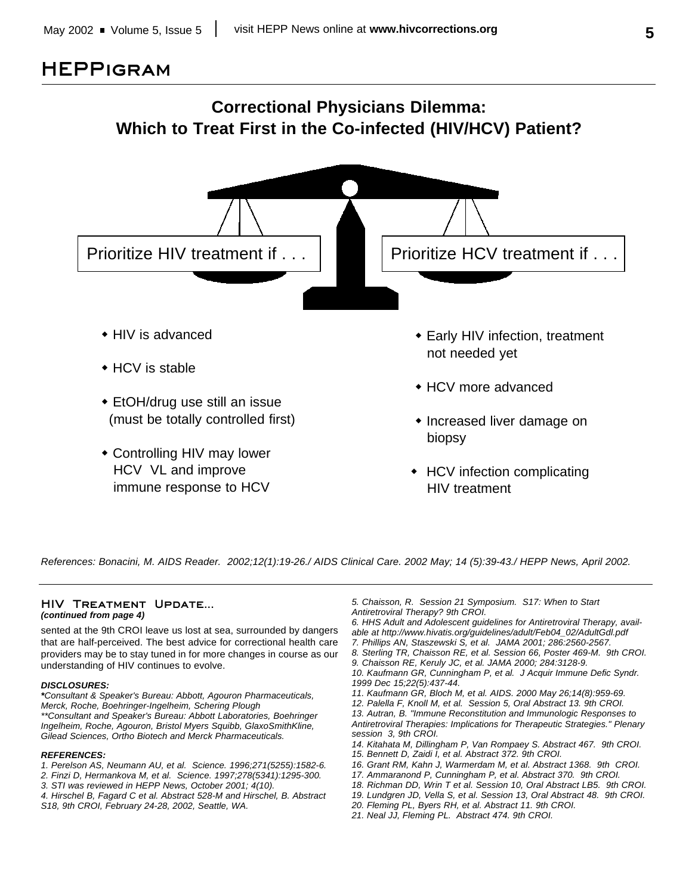# **HEPPigram**

# **Correctional Physicians Dilemma: Which to Treat First in the Co-infected (HIV/HCV) Patient?**



 $\cdot$  HCV infection complicating HIV treatment

*References: Bonacini, M. AIDS Reader. 2002;12(1):19-26./ AIDS Clinical Care. 2002 May; 14 (5):39-43./ HEPP News, April 2002.*

### **HIV Treatment Update...** *(continued from page 4)*

sented at the 9th CROI leave us lost at sea, surrounded by dangers that are half-perceived. The best advice for correctional health care providers may be to stay tuned in for more changes in course as our understanding of HIV continues to evolve.

immune response to HCV

### *DISCLOSURES:*

*\*Consultant & Speaker's Bureau: Abbott, Agouron Pharmaceuticals, Merck, Roche, Boehringer-Ingelheim, Schering Plough \*\*Consultant and Speaker's Bureau: Abbott Laboratories, Boehringer Ingelheim, Roche, Agouron, Bristol Myers Squibb, GlaxoSmithKline, Gilead Sciences, Ortho Biotech and Merck Pharmaceuticals.*

### *REFERENCES:*

- *1. Perelson AS, Neumann AU, et al. Science. 1996;271(5255):1582-6.*
- *2. Finzi D, Hermankova M, et al. Science. 1997;278(5341):1295-300.*
- *3. STI was reviewed in HEPP News, October 2001; 4(10).*
- *4. Hirschel B, Fagard C et al. Abstract 528-M and Hirschel, B. Abstract S18, 9th CROI, February 24-28, 2002, Seattle, WA.*

*5. Chaisson, R. Session 21 Symposium. S17: When to Start Antiretroviral Therapy? 9th CROI.*

*6. HHS Adult and Adolescent guidelines for Antiretroviral Therapy, available at http://www.hivatis.org/guidelines/adult/Feb04\_02/AdultGdl.pdf*

*7. Phillips AN, Staszewski S, et al. JAMA 2001; 286:2560-2567.*

*8. Sterling TR, Chaisson RE, et al. Session 66, Poster 469-M. 9th CROI. 9. Chaisson RE, Keruly JC, et al. JAMA 2000; 284:3128-9.*

- *10. Kaufmann GR, Cunningham P, et al. J Acquir Immune Defic Syndr. 1999 Dec 15;22(5):437-44.*
- *11. Kaufmann GR, Bloch M, et al. AIDS. 2000 May 26;14(8):959-69.*
- *12. Palella F, Knoll M, et al. Session 5, Oral Abstract 13. 9th CROI.*
- *13. Autran, B. "Immune Reconstitution and Immunologic Responses to Antiretroviral Therapies: Implications for Therapeutic Strategies." Plenary session 3, 9th CROI.*
- *14. Kitahata M, Dillingham P, Van Rompaey S. Abstract 467. 9th CROI.*
- *15. Bennett D, Zaidi I, et al. Abstract 372. 9th CROI.*
- *16. Grant RM, Kahn J, Warmerdam M, et al. Abstract 1368. 9th CROI.*
- *17. Ammaranond P, Cunningham P, et al. Abstract 370. 9th CROI.*
- *18. Richman DD, Wrin T et al. Session 10, Oral Abstract LB5. 9th CROI.*
- *19. Lundgren JD, Vella S, et al. Session 13, Oral Abstract 48. 9th CROI.*
- *20. Fleming PL, Byers RH, et al. Abstract 11. 9th CROI. 21. Neal JJ, Fleming PL. Abstract 474. 9th CROI.*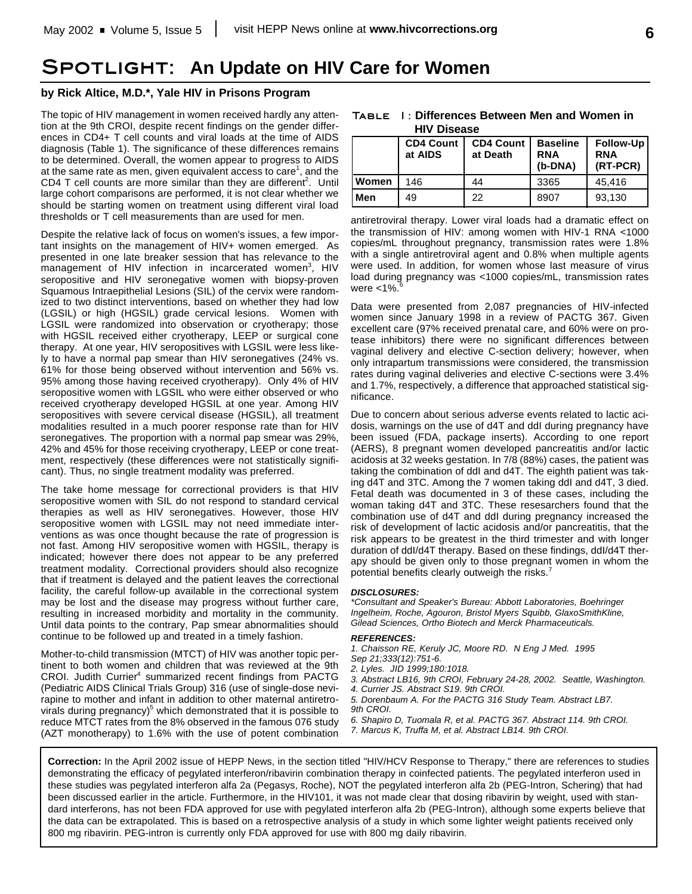# **Spotlight: An Update on HIV Care for Women**

### **by Rick Altice, M.D.\*, Yale HIV in Prisons Program**

The topic of HIV management in women received hardly any attention at the 9th CROI, despite recent findings on the gender differences in CD4+ T cell counts and viral loads at the time of AIDS diagnosis (Table 1). The significance of these differences remains to be determined. Overall, the women appear to progress to AIDS at the same rate as men, given equivalent access to care<sup>1</sup>, and the CD4 T cell counts are more similar than they are different<sup>2</sup>. Until large cohort comparisons are performed, it is not clear whether we should be starting women on treatment using different viral load thresholds or T cell measurements than are used for men.

Despite the relative lack of focus on women's issues, a few important insights on the management of HIV+ women emerged. As presented in one late breaker session that has relevance to the management of HIV infection in incarcerated women<sup>3</sup>, HIV seropositive and HIV seronegative women with biopsy-proven Squamous Intraepithelial Lesions (SIL) of the cervix were randomized to two distinct interventions, based on whether they had low (LGSIL) or high (HGSIL) grade cervical lesions. Women with LGSIL were randomized into observation or cryotherapy; those with HGSIL received either cryotherapy, LEEP or surgical cone therapy. At one year, HIV seropositives with LGSIL were less likely to have a normal pap smear than HIV seronegatives (24% vs. 61% for those being observed without intervention and 56% vs. 95% among those having received cryotherapy). Only 4% of HIV seropositive women with LGSIL who were either observed or who received cryotherapy developed HGSIL at one year. Among HIV seropositives with severe cervical disease (HGSIL), all treatment modalities resulted in a much poorer response rate than for HIV seronegatives. The proportion with a normal pap smear was 29%, 42% and 45% for those receiving cryotherapy, LEEP or cone treatment, respectively (these differences were not statistically significant). Thus, no single treatment modality was preferred.

The take home message for correctional providers is that HIV seropositive women with SIL do not respond to standard cervical therapies as well as HIV seronegatives. However, those HIV seropositive women with LGSIL may not need immediate interventions as was once thought because the rate of progression is not fast. Among HIV seropositive women with HGSIL, therapy is indicated; however there does not appear to be any preferred treatment modality. Correctional providers should also recognize that if treatment is delayed and the patient leaves the correctional facility, the careful follow-up available in the correctional system may be lost and the disease may progress without further care, resulting in increased morbidity and mortality in the community. Until data points to the contrary, Pap smear abnormalities should continue to be followed up and treated in a timely fashion.

Mother-to-child transmission (MTCT) of HIV was another topic pertinent to both women and children that was reviewed at the 9th CROI. Judith Currier<sup>4</sup> summarized recent findings from PACTG (Pediatric AIDS Clinical Trials Group) 316 (use of single-dose nevirapine to mother and infant in addition to other maternal antiretrovirals during pregnancy) <sup>5</sup> which demonstrated that it is possible to reduce MTCT rates from the 8% observed in the famous 076 study (AZT monotherapy) to 1.6% with the use of potent combination

| TABLE 1: Differences Between Men and Women in |
|-----------------------------------------------|
| <b>HIV Disease</b>                            |

|              | טטטטוע ווו                  |                              |                                          |                                       |
|--------------|-----------------------------|------------------------------|------------------------------------------|---------------------------------------|
|              | <b>CD4 Count</b><br>at AIDS | <b>CD4 Count</b><br>at Death | <b>Baseline</b><br><b>RNA</b><br>(b-DNA) | Follow-Up<br><b>RNA</b><br>$(RT-PCR)$ |
| <b>Nomen</b> | 146                         | 44                           | 3365                                     | 45.416                                |
| Men          | 49                          | 22                           | 8907                                     | 93,130                                |

antiretroviral therapy. Lower viral loads had a dramatic effect on the transmission of HIV: among women with HIV-1 RNA <1000 copies/mL throughout pregnancy, transmission rates were 1.8% with a single antiretroviral agent and 0.8% when multiple agents were used. In addition, for women whose last measure of virus load during pregnancy was <1000 copies/mL, transmission rates were <1%. 6

Data were presented from 2,087 pregnancies of HIV-infected women since January 1998 in a review of PACTG 367. Given excellent care (97% received prenatal care, and 60% were on protease inhibitors) there were no significant differences between vaginal delivery and elective C-section delivery; however, when only intrapartum transmissions were considered, the transmission rates during vaginal deliveries and elective C-sections were 3.4% and 1.7%, respectively, a difference that approached statistical significance.

Due to concern about serious adverse events related to lactic acidosis, warnings on the use of d4T and ddI during pregnancy have been issued (FDA, package inserts). According to one report (AERS), 8 pregnant women developed pancreatitis and/or lactic acidosis at 32 weeks gestation. In 7/8 (88%) cases, the patient was taking the combination of ddI and d4T. The eighth patient was taking d4T and 3TC. Among the 7 women taking ddI and d4T, 3 died. Fetal death was documented in 3 of these cases, including the woman taking d4T and 3TC. These resesarchers found that the combination use of d4T and ddI during pregnancy increased the risk of development of lactic acidosis and/or pancreatitis, that the risk appears to be greatest in the third trimester and with longer duration of ddI/d4T therapy. Based on these findings, ddI/d4T therapy should be given only to those pregnant women in whom the potential benefits clearly outweigh the risks.<sup>7</sup>

#### *DISCLOSURES:*

*\*Consultant and Speaker's Bureau: Abbott Laboratories, Boehringer Ingelheim, Roche, Agouron, Bristol Myers Squibb, GlaxoSmithKline, Gilead Sciences, Ortho Biotech and Merck Pharmaceuticals.*

#### *REFERENCES:*

*1. Chaisson RE, Keruly JC, Moore RD. N Eng J Med. 1995 Sep 21;333(12):751-6.*

- *2. Lyles. JID 1999;180:1018.*
- *3. Abstract LB16, 9th CROI, February 24-28, 2002. Seattle, Washington.*
- *4. Currier JS. Abstract S19. 9th CROI.*
- *5. Dorenbaum A. For the PACTG 316 Study Team. Abstract LB7.*
- *9th CROI.*
- *6. Shapiro D, Tuomala R, et al. PACTG 367. Abstract 114. 9th CROI.*
- *7. Marcus K, Truffa M, et al. Abstract LB14. 9th CROI.*

**Correction:** In the April 2002 issue of HEPP News, in the section titled "HIV/HCV Response to Therapy," there are references to studies demonstrating the efficacy of pegylated interferon/ribavirin combination therapy in coinfected patients. The pegylated interferon used in these studies was pegylated interferon alfa 2a (Pegasys, Roche), NOT the pegylated interferon alfa 2b (PEG-Intron, Schering) that had been discussed earlier in the article. Furthermore, in the HIV101, it was not made clear that dosing ribavirin by weight, used with standard interferons, has not been FDA approved for use with pegylated interferon alfa 2b (PEG-Intron), although some experts believe that the data can be extrapolated. This is based on a retrospective analysis of a study in which some lighter weight patients received only 800 mg ribavirin. PEG-intron is currently only FDA approved for use with 800 mg daily ribavirin.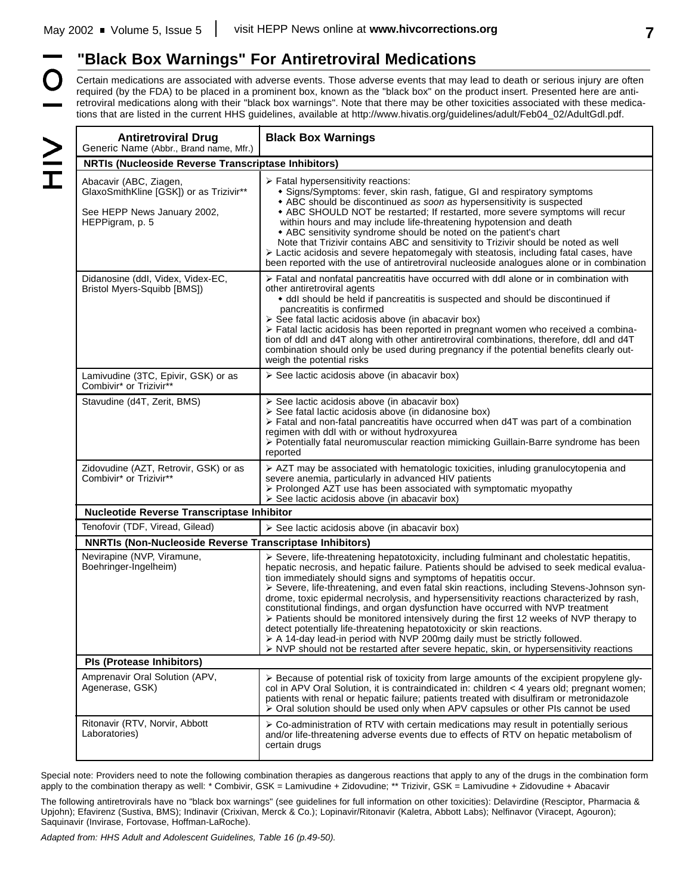$\blacksquare$ 

 $\geq$ <br> $\frac{1}{T}$ 

Γ

# **"Black Box Warnings" For Antiretroviral Medications**

Certain medications are associated with adverse events. Those adverse events that may lead to death or serious injury are often required (by the FDA) to be placed in a prominent box, known as the "black box" on the product insert. Presented here are antiretroviral medications along with their "black box warnings". Note that there may be other toxicities associated with these medications that are listed in the current HHS guidelines, available at http://www.hivatis.org/guidelines/adult/Feb04\_02/AdultGdl.pdf.

| <b>Antiretroviral Drug</b><br>Generic Name (Abbr., Brand name, Mfr.)                                                | <b>Black Box Warnings</b>                                                                                                                                                                                                                                                                                                                                                                                                                                                                                                                                                                                                                                                                                                                                                                                                                                                                                     |  |  |
|---------------------------------------------------------------------------------------------------------------------|---------------------------------------------------------------------------------------------------------------------------------------------------------------------------------------------------------------------------------------------------------------------------------------------------------------------------------------------------------------------------------------------------------------------------------------------------------------------------------------------------------------------------------------------------------------------------------------------------------------------------------------------------------------------------------------------------------------------------------------------------------------------------------------------------------------------------------------------------------------------------------------------------------------|--|--|
| <b>NRTIs (Nucleoside Reverse Transcriptase Inhibitors)</b>                                                          |                                                                                                                                                                                                                                                                                                                                                                                                                                                                                                                                                                                                                                                                                                                                                                                                                                                                                                               |  |  |
| Abacavir (ABC, Ziagen,<br>GlaxoSmithKline [GSK]) or as Trizivir**<br>See HEPP News January 2002,<br>HEPPigram, p. 5 | $\triangleright$ Fatal hypersensitivity reactions:<br>• Signs/Symptoms: fever, skin rash, fatigue, GI and respiratory symptoms<br>• ABC should be discontinued as soon as hypersensitivity is suspected<br>• ABC SHOULD NOT be restarted; If restarted, more severe symptoms will recur<br>within hours and may include life-threatening hypotension and death<br>• ABC sensitivity syndrome should be noted on the patient's chart<br>Note that Trizivir contains ABC and sensitivity to Trizivir should be noted as well<br>$\triangleright$ Lactic acidosis and severe hepatomegaly with steatosis, including fatal cases, have<br>been reported with the use of antiretroviral nucleoside analogues alone or in combination                                                                                                                                                                               |  |  |
| Didanosine (ddl, Videx, Videx-EC,<br>Bristol Myers-Squibb [BMS])                                                    | $\triangleright$ Fatal and nonfatal pancreatitis have occurred with ddl alone or in combination with<br>other antiretroviral agents<br>• ddl should be held if pancreatitis is suspected and should be discontinued if<br>pancreatitis is confirmed<br>> See fatal lactic acidosis above (in abacavir box)<br>> Fatal lactic acidosis has been reported in pregnant women who received a combina-<br>tion of ddl and d4T along with other antiretroviral combinations, therefore, ddl and d4T<br>combination should only be used during pregnancy if the potential benefits clearly out-<br>weigh the potential risks                                                                                                                                                                                                                                                                                         |  |  |
| Lamivudine (3TC, Epivir, GSK) or as<br>Combivir* or Trizivir**                                                      | $\triangleright$ See lactic acidosis above (in abacavir box)                                                                                                                                                                                                                                                                                                                                                                                                                                                                                                                                                                                                                                                                                                                                                                                                                                                  |  |  |
| Stavudine (d4T, Zerit, BMS)                                                                                         | $\triangleright$ See lactic acidosis above (in abacavir box)<br>> See fatal lactic acidosis above (in didanosine box)<br>$\triangleright$ Fatal and non-fatal pancreatitis have occurred when d4T was part of a combination<br>regimen with ddl with or without hydroxyurea<br>> Potentially fatal neuromuscular reaction mimicking Guillain-Barre syndrome has been<br>reported                                                                                                                                                                                                                                                                                                                                                                                                                                                                                                                              |  |  |
| Zidovudine (AZT, Retrovir, GSK) or as<br>Combivir* or Trizivir**                                                    | ≻ AZT may be associated with hematologic toxicities, inluding granulocytopenia and<br>severe anemia, particularly in advanced HIV patients<br>$\triangleright$ Prolonged AZT use has been associated with symptomatic myopathy<br>> See lactic acidosis above (in abacavir box)                                                                                                                                                                                                                                                                                                                                                                                                                                                                                                                                                                                                                               |  |  |
| Nucleotide Reverse Transcriptase Inhibitor                                                                          |                                                                                                                                                                                                                                                                                                                                                                                                                                                                                                                                                                                                                                                                                                                                                                                                                                                                                                               |  |  |
| Tenofovir (TDF, Viread, Gilead)                                                                                     | $\triangleright$ See lactic acidosis above (in abacavir box)                                                                                                                                                                                                                                                                                                                                                                                                                                                                                                                                                                                                                                                                                                                                                                                                                                                  |  |  |
| <b>NNRTIs (Non-Nucleoside Reverse Transcriptase Inhibitors)</b>                                                     |                                                                                                                                                                                                                                                                                                                                                                                                                                                                                                                                                                                                                                                                                                                                                                                                                                                                                                               |  |  |
| Nevirapine (NVP, Viramune,<br>Boehringer-Ingelheim)                                                                 | > Severe, life-threatening hepatotoxicity, including fulminant and cholestatic hepatitis,<br>hepatic necrosis, and hepatic failure. Patients should be advised to seek medical evalua-<br>tion immediately should signs and symptoms of hepatitis occur.<br>▶ Severe, life-threatening, and even fatal skin reactions, including Stevens-Johnson syn-<br>drome, toxic epidermal necrolysis, and hypersensitivity reactions characterized by rash,<br>constitutional findings, and organ dysfunction have occurred with NVP treatment<br>$\triangleright$ Patients should be monitored intensively during the first 12 weeks of NVP therapy to<br>detect potentially life-threatening hepatotoxicity or skin reactions.<br>> A 14-day lead-in period with NVP 200mg daily must be strictly followed.<br>$\triangleright$ NVP should not be restarted after severe hepatic, skin, or hypersensitivity reactions |  |  |
| <b>PIs (Protease Inhibitors)</b>                                                                                    |                                                                                                                                                                                                                                                                                                                                                                                                                                                                                                                                                                                                                                                                                                                                                                                                                                                                                                               |  |  |
| Amprenavir Oral Solution (APV,<br>Agenerase, GSK)                                                                   | $\triangleright$ Because of potential risk of toxicity from large amounts of the excipient propylene gly-<br>col in APV Oral Solution, it is contraindicated in: children < 4 years old; pregnant women;<br>patients with renal or hepatic failure; patients treated with disulfiram or metronidazole<br>$\triangleright$ Oral solution should be used only when APV capsules or other PIs cannot be used                                                                                                                                                                                                                                                                                                                                                                                                                                                                                                     |  |  |
| Ritonavir (RTV, Norvir, Abbott<br>Laboratories)                                                                     | $\triangleright$ Co-administration of RTV with certain medications may result in potentially serious<br>and/or life-threatening adverse events due to effects of RTV on hepatic metabolism of<br>certain drugs                                                                                                                                                                                                                                                                                                                                                                                                                                                                                                                                                                                                                                                                                                |  |  |

Special note: Providers need to note the following combination therapies as dangerous reactions that apply to any of the drugs in the combination form apply to the combination therapy as well: \* Combivir, GSK = Lamivudine + Zidovudine; \*\* Trizivir, GSK = Lamivudine + Zidovudine + Abacavir

The following antiretrovirals have no "black box warnings" (see guidelines for full information on other toxicities): Delavirdine (Resciptor, Pharmacia & Upjohn); Efavirenz (Sustiva, BMS); Indinavir (Crixivan, Merck & Co.); Lopinavir/Ritonavir (Kaletra, Abbott Labs); Nelfinavor (Viracept, Agouron); Saquinavir (Invirase, Fortovase, Hoffman-LaRoche).

*Adapted from: HHS Adult and Adolescent Guidelines, Table 16 (p.49-50).*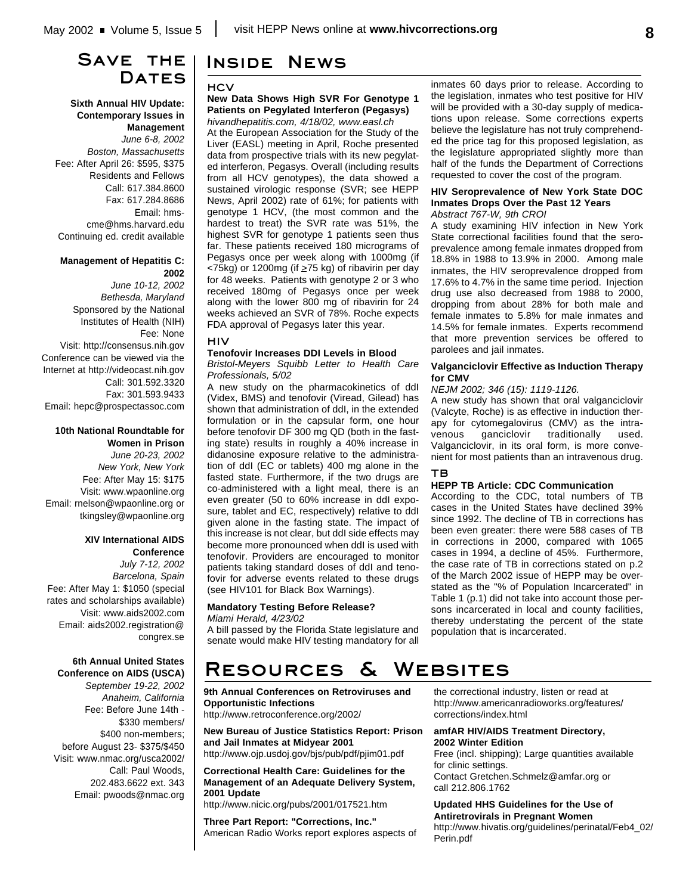# **Save the** DATES

**Sixth Annual HIV Update: Contemporary Issues in Management** *June 6-8, 2002 Boston, Massachusetts* Fee: After April 26: \$595, \$375 Residents and Fellows Call: 617.384.8600 Fax: 617.284.8686 Email: hmscme@hms.harvard.edu Continuing ed. credit available

### **Management of Hepatitis C: 2002**

*June 10-12, 2002 Bethesda, Maryland* Sponsored by the National Institutes of Health (NIH) Fee: None Visit: http://consensus.nih.gov Conference can be viewed via the Internet at http://videocast.nih.gov Call: 301.592.3320 Fax: 301.593.9433 Email: hepc@prospectassoc.com

### **10th National Roundtable for Women in Prison**

*June 20-23, 2002 New York, New York* Fee: After May 15: \$175 Visit: www.wpaonline.org Email: rnelson@wpaonline.org or tkingsley@wpaonline.org

### **XIV International AIDS Conference**

*July 7-12, 2002 Barcelona, Spain* Fee: After May 1: \$1050 (special rates and scholarships available) Visit: www.aids2002.com Email: aids2002.registration@ congrex.se

#### **6th Annual United States Conference on AIDS (USCA)**

*September 19-22, 2002 Anaheim, California* Fee: Before June 14th - \$330 members/ \$400 non-members; before August 23- \$375/\$450 Visit: www.nmac.org/usca2002/ Call: Paul Woods, 202.483.6622 ext. 343 Email: pwoods@nmac.org

# **Inside News**

### **HCV**

## **New Data Shows High SVR For Genotype 1 Patients on Pegylated Interferon (Pegasys)**

*hivandhepatitis.com, 4/18/02, www.easl.ch* At the European Association for the Study of the Liver (EASL) meeting in April, Roche presented data from prospective trials with its new pegylated interferon, Pegasys. Overall (including results from all HCV genotypes), the data showed a sustained virologic response (SVR; see HEPP News, April 2002) rate of 61%; for patients with genotype 1 HCV, (the most common and the hardest to treat) the SVR rate was 51%, the highest SVR for genotype 1 patients seen thus far. These patients received 180 micrograms of Pegasys once per week along with 1000mg (if  $<$ 75kg) or 1200mg (if  $\ge$ 75 kg) of ribavirin per day for 48 weeks. Patients with genotype 2 or 3 who received 180mg of Pegasys once per week along with the lower 800 mg of ribavirin for 24 weeks achieved an SVR of 78%. Roche expects FDA approval of Pegasys later this year.

### **HIV**

### **Tenofovir Increases DDI Levels in Blood** *Bristol-Meyers Squibb Letter to Health Care*

*Professionals, 5/02* A new study on the pharmacokinetics of ddI (Videx, BMS) and tenofovir (Viread, Gilead) has shown that administration of ddI, in the extended formulation or in the capsular form, one hour before tenofovir DF 300 mg QD (both in the fasting state) results in roughly a 40% increase in didanosine exposure relative to the administration of ddI (EC or tablets) 400 mg alone in the fasted state. Furthermore, if the two drugs are co-administered with a light meal, there is an even greater (50 to 60% increase in ddI exposure, tablet and EC, respectively) relative to ddI given alone in the fasting state. The impact of this increase is not clear, but ddI side effects may become more pronounced when ddI is used with tenofovir. Providers are encouraged to monitor patients taking standard doses of ddI and tenofovir for adverse events related to these drugs (see HIV101 for Black Box Warnings).

### **Mandatory Testing Before Release?** *Miami Herald, 4/23/02*

A bill passed by the Florida State legislature and senate would make HIV testing mandatory for all inmates 60 days prior to release. According to the legislation, inmates who test positive for HIV will be provided with a 30-day supply of medications upon release. Some corrections experts believe the legislature has not truly comprehended the price tag for this proposed legislation, as the legislature appropriated slightly more than half of the funds the Department of Corrections requested to cover the cost of the program.

### **HIV Seroprevalence of New York State DOC Inmates Drops Over the Past 12 Years** *Abstract 767-W, 9th CROI*

A study examining HIV infection in New York State correctional facilities found that the seroprevalence among female inmates dropped from 18.8% in 1988 to 13.9% in 2000. Among male inmates, the HIV seroprevalence dropped from 17.6% to 4.7% in the same time period. Injection drug use also decreased from 1988 to 2000, dropping from about 28% for both male and female inmates to 5.8% for male inmates and 14.5% for female inmates. Experts recommend that more prevention services be offered to parolees and jail inmates.

### **Valganciclovir Effective as Induction Therapy for CMV**

### *NEJM 2002; 346 (15): 1119-1126.*

A new study has shown that oral valganciclovir (Valcyte, Roche) is as effective in induction therapy for cytomegalovirus (CMV) as the intravenous ganciclovir traditionally used. Valganciclovir, in its oral form, is more convenient for most patients than an intravenous drug.

### **TB**

### **HEPP TB Article: CDC Communication**

According to the CDC, total numbers of TB cases in the United States have declined 39% since 1992. The decline of TB in corrections has been even greater: there were 588 cases of TB in corrections in 2000, compared with 1065 cases in 1994, a decline of 45%. Furthermore, the case rate of TB in corrections stated on p.2 of the March 2002 issue of HEPP may be overstated as the "% of Population Incarcerated" in Table 1 (p.1) did not take into account those persons incarcerated in local and county facilities, thereby understating the percent of the state population that is incarcerated.

# **Resources & Websites**

### **9th Annual Conferences on Retroviruses and Opportunistic Infections** http://www.retroconference.org/2002/

### **New Bureau of Justice Statistics Report: Prison and Jail Inmates at Midyear 2001**

http://www.ojp.usdoj.gov/bjs/pub/pdf/pjim01.pdf **Correctional Health Care: Guidelines for the**

**Management of an Adequate Delivery System, 2001 Update**

http://www.nicic.org/pubs/2001/017521.htm

**Three Part Report: "Corrections, Inc."** American Radio Works report explores aspects of the correctional industry, listen or read at http://www.americanradioworks.org/features/ corrections/index.html

### **amfAR HIV/AIDS Treatment Directory, 2002 Winter Edition**

Free (incl. shipping); Large quantities available for clinic settings. Contact Gretchen.Schmelz@amfar.org or

call 212.806.1762 **Updated HHS Guidelines for the Use of**

**Antiretrovirals in Pregnant Women** http://www.hivatis.org/guidelines/perinatal/Feb4\_02/ Perin.pdf